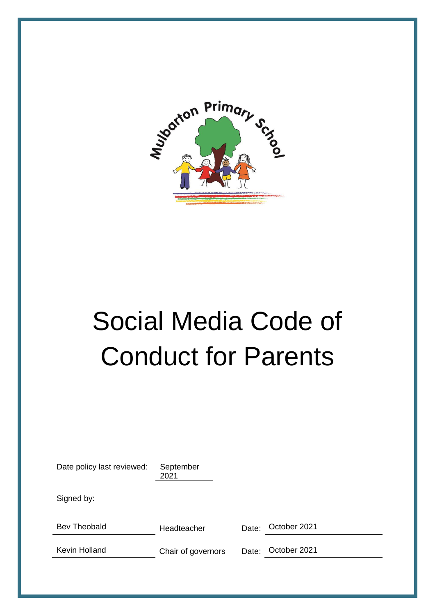

# Social Media Code of Conduct for Parents

| Date policy last reviewed: | September<br>2021  |       |              |
|----------------------------|--------------------|-------|--------------|
| Signed by:                 |                    |       |              |
| Bev Theobald               | Headteacher        | Date: | October 2021 |
| <b>Kevin Holland</b>       | Chair of governors | Date: | October 2021 |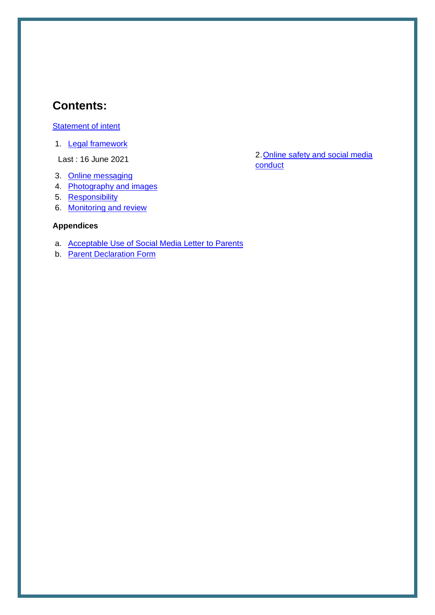## **Contents:**

#### [Statement of intent](#page-2-0)

1. **Legal framework** 

Last : 16 June 2021

- 3. [Online messaging](#page-3-2)
- 4. [Photography and images](#page-4-0)
- 5. [Responsibility](#page-4-1)
- 6. [Monitoring and review](#page-5-0)

#### **Appendices**

- a. [Acceptable Use of Social Media Letter to Parents](#page-6-0)
- b. [Parent Declaration Form](#page-7-0)

2. Online safety and social media [conduct](#page-3-1)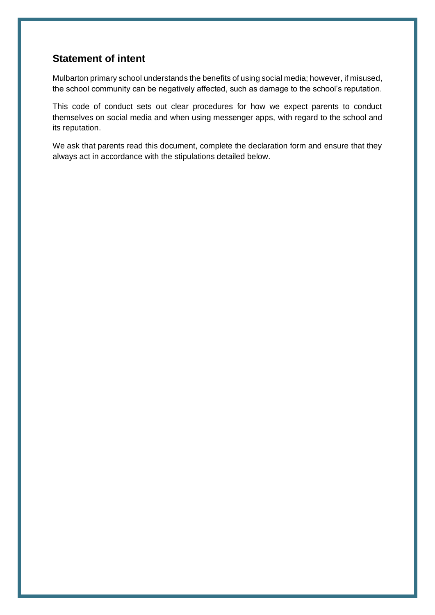#### <span id="page-2-0"></span>**Statement of intent**

Mulbarton primary school understands the benefits of using social media; however, if misused, the school community can be negatively affected, such as damage to the school's reputation.

This code of conduct sets out clear procedures for how we expect parents to conduct themselves on social media and when using messenger apps, with regard to the school and its reputation.

We ask that parents read this document, complete the declaration form and ensure that they always act in accordance with the stipulations detailed below.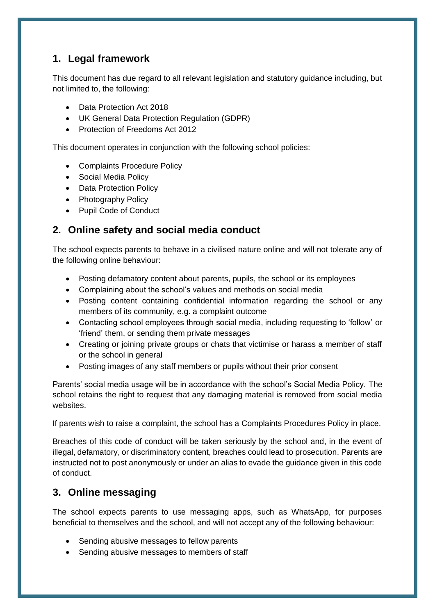## <span id="page-3-0"></span>**1. Legal framework**

This document has due regard to all relevant legislation and statutory guidance including, but not limited to, the following:

- Data Protection Act 2018
- UK General Data Protection Regulation (GDPR)
- Protection of Freedoms Act 2012

This document operates in conjunction with the following school policies:

- Complaints Procedure Policy
- Social Media Policy
- Data Protection Policy
- Photography Policy
- Pupil Code of Conduct

### <span id="page-3-1"></span>**2. Online safety and social media conduct**

The school expects parents to behave in a civilised nature online and will not tolerate any of the following online behaviour:

- Posting defamatory content about parents, pupils, the school or its employees
- Complaining about the school's values and methods on social media
- Posting content containing confidential information regarding the school or any members of its community, e.g. a complaint outcome
- Contacting school employees through social media, including requesting to 'follow' or 'friend' them, or sending them private messages
- Creating or joining private groups or chats that victimise or harass a member of staff or the school in general
- Posting images of any staff members or pupils without their prior consent

Parents' social media usage will be in accordance with the school's Social Media Policy. The school retains the right to request that any damaging material is removed from social media websites.

If parents wish to raise a complaint, the school has a Complaints Procedures Policy in place.

Breaches of this code of conduct will be taken seriously by the school and, in the event of illegal, defamatory, or discriminatory content, breaches could lead to prosecution. Parents are instructed not to post anonymously or under an alias to evade the guidance given in this code of conduct.

### <span id="page-3-2"></span>**3. Online messaging**

The school expects parents to use messaging apps, such as WhatsApp, for purposes beneficial to themselves and the school, and will not accept any of the following behaviour:

- Sending abusive messages to fellow parents
- Sending abusive messages to members of staff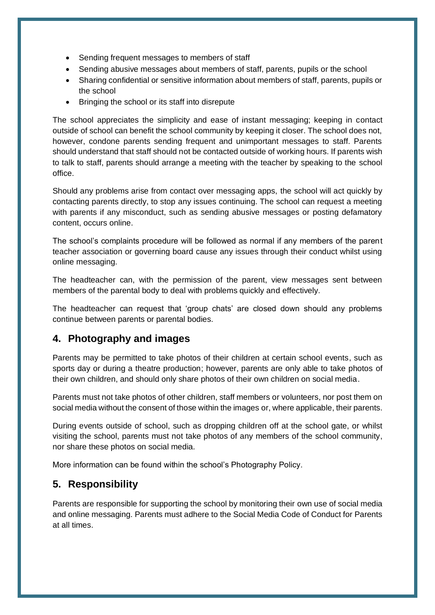- Sending frequent messages to members of staff
- Sending abusive messages about members of staff, parents, pupils or the school
- Sharing confidential or sensitive information about members of staff, parents, pupils or the school
- Bringing the school or its staff into disrepute

The school appreciates the simplicity and ease of instant messaging; keeping in contact outside of school can benefit the school community by keeping it closer. The school does not, however, condone parents sending frequent and unimportant messages to staff. Parents should understand that staff should not be contacted outside of working hours. If parents wish to talk to staff, parents should arrange a meeting with the teacher by speaking to the school office.

Should any problems arise from contact over messaging apps, the school will act quickly by contacting parents directly, to stop any issues continuing. The school can request a meeting with parents if any misconduct, such as sending abusive messages or posting defamatory content, occurs online.

The school's complaints procedure will be followed as normal if any members of the parent teacher association or governing board cause any issues through their conduct whilst using online messaging.

The headteacher can, with the permission of the parent, view messages sent between members of the parental body to deal with problems quickly and effectively.

The headteacher can request that 'group chats' are closed down should any problems continue between parents or parental bodies.

### <span id="page-4-0"></span>**4. Photography and images**

Parents may be permitted to take photos of their children at certain school events, such as sports day or during a theatre production; however, parents are only able to take photos of their own children, and should only share photos of their own children on social media.

Parents must not take photos of other children, staff members or volunteers, nor post them on social media without the consent of those within the images or, where applicable, their parents.

During events outside of school, such as dropping children off at the school gate, or whilst visiting the school, parents must not take photos of any members of the school community, nor share these photos on social media.

More information can be found within the school's Photography Policy.

### <span id="page-4-1"></span>**5. Responsibility**

Parents are responsible for supporting the school by monitoring their own use of social media and online messaging. Parents must adhere to the Social Media Code of Conduct for Parents at all times.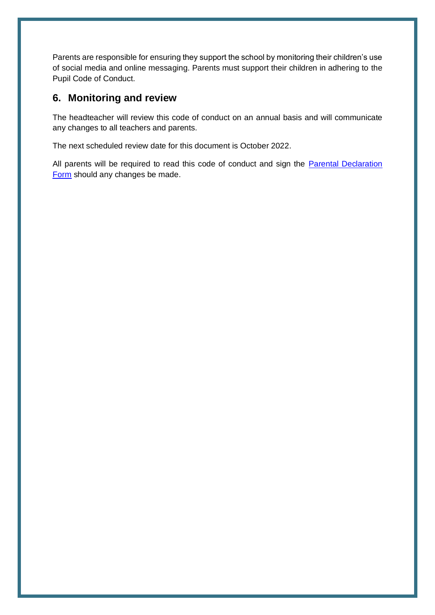Parents are responsible for ensuring they support the school by monitoring their children's use of social media and online messaging. Parents must support their children in adhering to the Pupil Code of Conduct.

#### <span id="page-5-0"></span>**6. Monitoring and review**

The headteacher will review this code of conduct on an annual basis and will communicate any changes to all teachers and parents.

The next scheduled review date for this document is October 2022.

All parents will be required to read this code of conduct and sign the Parental Declaration [Form](#page-7-0) should any changes be made.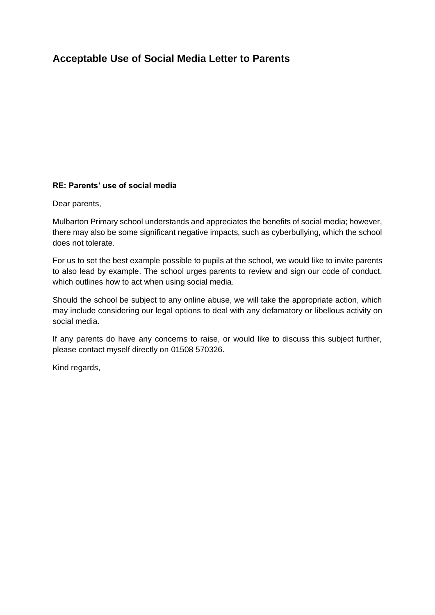## <span id="page-6-0"></span>**Acceptable Use of Social Media Letter to Parents**

#### **RE: Parents' use of social media**

Dear parents,

Mulbarton Primary school understands and appreciates the benefits of social media; however, there may also be some significant negative impacts, such as cyberbullying, which the school does not tolerate.

For us to set the best example possible to pupils at the school, we would like to invite parents to also lead by example. The school urges parents to review and sign our code of conduct, which outlines how to act when using social media.

Should the school be subject to any online abuse, we will take the appropriate action, which may include considering our legal options to deal with any defamatory or libellous activity on social media.

If any parents do have any concerns to raise, or would like to discuss this subject further, please contact myself directly on 01508 570326.

Kind regards,